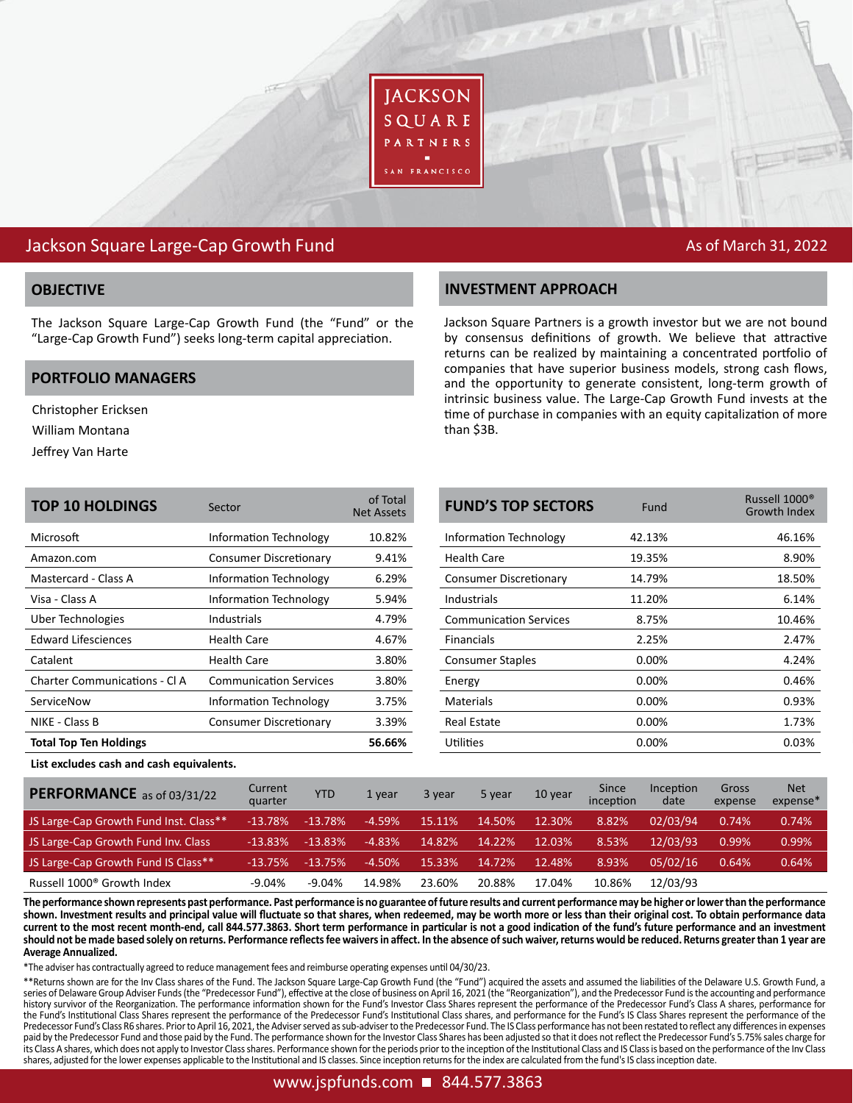

# Jackson Square Large-Cap Growth Fund As of March 31, 2022

The Jackson Square Large-Cap Growth Fund (the "Fund" or the "Large-Cap Growth Fund") seeks long-term capital appreciation.

### **PORTFOLIO MANAGERS**

Christopher Ericksen

William Montana

Jeffrey Van Harte

## **OBJECTIVE INVESTMENT APPROACH**

Jackson Square Partners is a growth investor but we are not bound by consensus definitions of growth. We believe that attractive returns can be realized by maintaining a concentrated portfolio of companies that have superior business models, strong cash flows, and the opportunity to generate consistent, long-term growth of intrinsic business value. The Large-Cap Growth Fund invests at the time of purchase in companies with an equity capitalization of more than \$3B.

| <b>TOP 10 HOLDINGS</b>        | Sector                        | of Total<br><b>Net Assets</b> |
|-------------------------------|-------------------------------|-------------------------------|
| Microsoft                     | Information Technology        | 10.82%                        |
| Amazon.com                    | <b>Consumer Discretionary</b> | 9.41%                         |
| Mastercard - Class A          | Information Technology        | 6.29%                         |
| Visa - Class A                | <b>Information Technology</b> | 5.94%                         |
| Uber Technologies             | Industrials                   | 4.79%                         |
| <b>Edward Lifesciences</b>    | Health Care                   | 4.67%                         |
| Catalent                      | Health Care                   | 3.80%                         |
| Charter Communications - CLA  | <b>Communication Services</b> | 3.80%                         |
| ServiceNow                    | Information Technology        | 3.75%                         |
| NIKE - Class B                | Consumer Discretionary        | 3.39%                         |
| <b>Total Top Ten Holdings</b> |                               | 56.66%                        |
|                               |                               |                               |

| Sector                        | of Total<br><b>Net Assets</b> | <b>FUND'S TOP SECTORS</b>     | Fund   | Russell 1000 <sup>®</sup><br>Growth Index |
|-------------------------------|-------------------------------|-------------------------------|--------|-------------------------------------------|
| Information Technology        | 10.82%                        | Information Technology        | 42.13% | 46.16%                                    |
| <b>Consumer Discretionary</b> | 9.41%                         | <b>Health Care</b>            | 19.35% | 8.90%                                     |
| <b>Information Technology</b> | 6.29%                         | <b>Consumer Discretionary</b> | 14.79% | 18.50%                                    |
| <b>Information Technology</b> | 5.94%                         | <b>Industrials</b>            | 11.20% | 6.14%                                     |
| <b>Industrials</b>            | 4.79%                         | <b>Communication Services</b> | 8.75%  | 10.46%                                    |
| Health Care                   | 4.67%                         | <b>Financials</b>             | 2.25%  | 2.47%                                     |
| Health Care                   | 3.80%                         | <b>Consumer Staples</b>       | 0.00%  | 4.24%                                     |
| <b>Communication Services</b> | 3.80%                         | Energy                        | 0.00%  | 0.46%                                     |
| Information Technology        | 3.75%                         | <b>Materials</b>              | 0.00%  | 0.93%                                     |
| <b>Consumer Discretionary</b> | 3.39%                         | <b>Real Estate</b>            | 0.00%  | 1.73%                                     |
|                               | 56.66%                        | <b>Utilities</b>              | 0.00%  | 0.03%                                     |

**List excludes cash and cash equivalents.**

| PERFORMANCE as of 03/31/22             | Current<br>quarter | YTD       | 1 vear   | 3 year | 5 year | 10 year | Since<br>inception | Inception<br>date | Gross<br>expense | <b>Net</b><br>expense* |
|----------------------------------------|--------------------|-----------|----------|--------|--------|---------|--------------------|-------------------|------------------|------------------------|
| JS Large-Cap Growth Fund Inst. Class** | $-13.78%$          | $-13.78%$ | $-4.59%$ | 15.11% | 14.50% | 12.30%  | 8.82%              | 02/03/94          | 0.74%            | 0.74%                  |
| JS Large-Cap Growth Fund Inv. Class    | $-13.83%$          | $-13.83%$ | $-4.83%$ | 14.82% | 14.22% | 12.03%  | 8.53%              | 12/03/93          | 0.99%            | 0.99%                  |
| JS Large-Cap Growth Fund IS Class**    | $-13.75%$          | $-13.75%$ | $-4.50%$ | 15.33% | 14.72% | 12.48%  | 8.93%              | 05/02/16          | 0.64%            | 0.64%                  |
| Russell 1000 <sup>®</sup> Growth Index | $-9.04%$           | $-9.04%$  | 14.98%   | 23.60% | 20.88% | 17.04%  | 10.86%             | 12/03/93          |                  |                        |

**The performance shown represents past performance. Past performance is no guarantee of future results and current performance may be higher or lower than the performance shown. Investment results and principal value will fluctuate so that shares, when redeemed, may be worth more or less than their original cost. To obtain performance data current to the most recent month-end, call 844.577.3863. Short term performance in particular is not a good indication of the fund's future performance and an investment should not be made based solely on returns. Performance reflects fee waivers in affect. In the absence of such waiver, returns would be reduced. Returns greater than 1 year are Average Annualized.** 

\*The adviser has contractually agreed to reduce management fees and reimburse operating expenses until 04/30/23.

\*\*Returns shown are for the Inv Class shares of the Fund. The Jackson Square Large-Cap Growth Fund (the "Fund") acquired the assets and assumed the liabilities of the Delaware U.S. Growth Fund, a series of Delaware Group Adviser Funds (the "Predecessor Fund"), effective at the close of business on April 16, 2021 (the "Reorganization"), and the Predecessor Fund is the accounting and performance history survivor of the Reorganization. The performance information shown for the Fund's Investor Class Shares represent the performance of the Predecessor Fund's Class A shares, performance for the Fund's Institutional Class Shares represent the performance of the Predecessor Fund's Institutional Class shares, and performance for the Fund's IS Class Shares represent the performance of the Predecessor Fund's Class R6 shares. Prior to April 16, 2021, the Adviser served as sub-adviser to the Predecessor Fund. The IS Class performance has not been restated to reflect any differences in expenses paid by the Predecessor Fund and those paid by the Fund. The performance shown for the Investor Class Shares has been adjusted so that it does not reflect the Predecessor Fund's 5.75% sales charge for its Class A shares, which does not apply to Investor Class shares. Performance shown for the periods prior to the inception of the Institutional Class and IS Class is based on the performance of the Inv Class shares, adjusted for the lower expenses applicable to the Institutional and IS classes. Since inception returns for the index are calculated from the fund's IS class inception date.